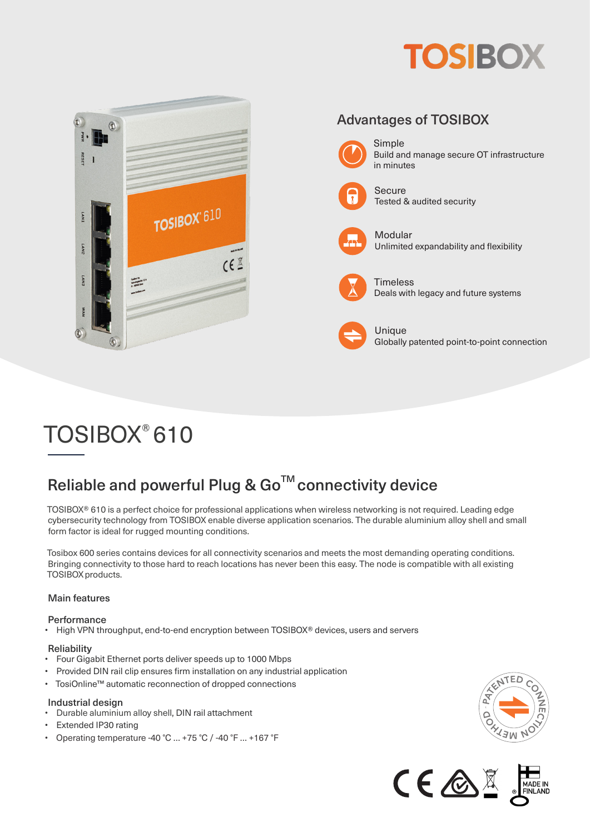



# TOSIBOX® 610

# Reliable and powerful Plug & Go<sup>™</sup> connectivity device

TOSIBOX® 610 is a perfect choice for professional applications when wireless networking is not required. Leading edge cybersecurity technology from TOSIBOX enable diverse application scenarios. The durable aluminium alloy shell and small form factor is ideal for rugged mounting conditions.

Tosibox 600 series contains devices for all connectivity scenarios and meets the most demanding operating conditions. Bringing connectivity to those hard to reach locations has never been this easy. The node is compatible with all existing TOSIBOX products.

#### Main features

#### **Performance**

• High VPN throughput, end-to-end encryption between TOSIBOX® devices, users and servers

### **Reliability**<br>Four Gigs

- Four Gigabit Ethernet ports deliver speeds up to 1000 Mbps
- Provided DIN rail clip ensures firm installation on any industrial application
- TosiOnline™ automatic reconnection of dropped connections

#### Industrial design

- Durable aluminium alloy shell, DIN rail attachment
- Extended IP30 rating
- Operating temperature -40 °C … +75 °C / -40 °F … +167 °F